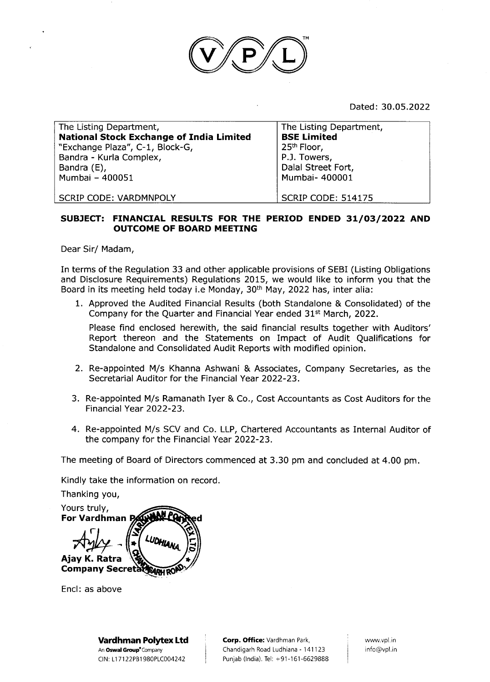

Dated: 30.05.2022

| The Listing Department,                         | The Listing Department,   |
|-------------------------------------------------|---------------------------|
| <b>National Stock Exchange of India Limited</b> | <b>BSE Limited</b>        |
| "Exchange Plaza", C-1, Block-G,                 | 25 <sup>th</sup> Floor,   |
| Bandra - Kurla Complex,                         | P.J. Towers,              |
| Bandra (E),                                     | Dalal Street Fort,        |
| Mumbai - 400051                                 | Mumbai- 400001            |
|                                                 |                           |
| <b>SCRIP CODE: VARDMNPOLY</b>                   | <b>SCRIP CODE: 514175</b> |

## SUBJECT: FINANCIAL RESULTS FOR THE PERIOD ENDED 31/03/2022 AND OUTCOME OF BOARD MEETING

Dear Sir/ Madam,

In terms of the Regulation 33 and other applicable provisions of SEBI (Listing Obligations and Disclosure Requirements) Regulations 2015, we would like to inform you that the Board in its meeting held today i.e Monday, 30<sup>th</sup> May, 2022 has, inter alia:

1. Approved the Audited Financial Results (both Standalone & Consolidated) of the Company for the Quarter and Financial Year ended 31<sup>st</sup> March, 2022.

Please find enclosed herewith, the said financial results together with Auditors' Report thereon and the Statements on Impact of Audit Qualifications for Standalone and Consolidated Audit Reports with modified opinion.

- 2. Re-appointed M/s Khanna Ashwani & Associates, Company Secretaries, as the Secretarial Auditor for the Financial Year 2022-23.
- 3. Re-appointed M/s Ramanath Iyer & Co., Cost Accountants as Cost Auditors for the Financial Year 2022-23.
- 4. Re-appointed M/s SCV and Co. LLP, Chartered Accountants as Internal Auditor of the company for the Financial Year 2022-23.

The meeting of Board of Directors commenced at 3.30 pm and concluded at 4.00 pm.

Kindly take the information on record.

Thanking you,



Encl: as above

Vardhman Polytex Ltd An Oswal Group®Company Cl N: L1 7 1 22 PB 1 980PLC004242

Corp. Office: Vardhman Park, Chandigarh Road Ludhiana - 141123 Punjab (India). Tel: +91-161-6629888 www.vpl.in info@vpl.in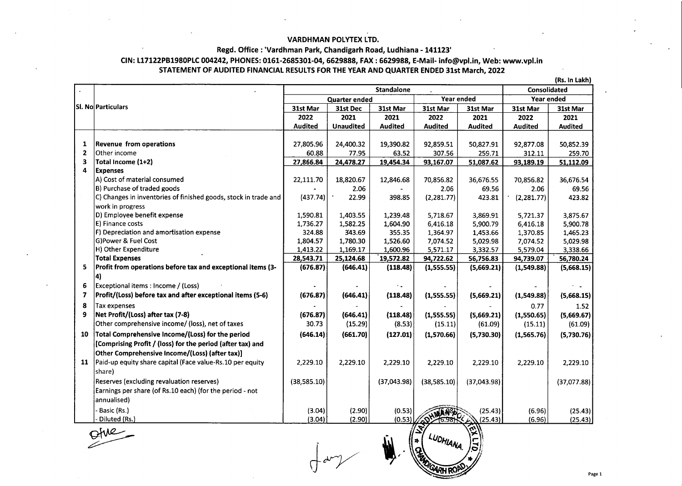## VARDHMAN POLYTEX LTD.

## Regd. Office : 'Vardhman Park, Chandigarh Road, Ludhiana - 141123'

## CIN: [17122P81980PIC 004242, PHONES: 0151-2585301-04, 6529888, FAX : 6629988, E-Mail- info@vpl.in, Web: www.vpl.in STATEMENT OF AUDITED FINANCIAL RESULTS FOR THE YEAR AND QUARTER ENDED 31st March, 2022

|                |                                                                 |                                    |                  |                |                |                |                | (Rs. In Lakh)  |
|----------------|-----------------------------------------------------------------|------------------------------------|------------------|----------------|----------------|----------------|----------------|----------------|
|                |                                                                 | Standalone<br>Consolidated         |                  |                |                |                |                |                |
|                |                                                                 | Year ended<br><b>Quarter ended</b> |                  | Year ended     |                |                |                |                |
|                | SI. No Particulars                                              | 31st Mar                           | 31st Dec         | 31st Mar       | 31st Mar       | 31st Mar       | 31st Mar       | 31st Mar       |
|                |                                                                 | 2022                               | 2021             | 2021           | 2022           | 2021           | 2022           | 2021           |
|                |                                                                 | <b>Audited</b>                     | <b>Unaudited</b> | <b>Audited</b> | <b>Audited</b> | <b>Audited</b> | <b>Audited</b> | <b>Audited</b> |
|                |                                                                 |                                    |                  |                |                |                |                |                |
| 1              | <b>Revenue from operations</b>                                  | 27,805.96                          | 24,400.32        | 19,390.82      | 92,859.51      | 50,827.91      | 92,877.08      | 50,852.39      |
| $\overline{2}$ | lOther income                                                   | 60.88                              | 77.95            | 63.52          | 307.56         | 259.71         | 312.11         | 259.70         |
| 3              | Total Income (1+2)                                              | 27,866.84                          | 24,478.27        | 19,454.34      | 93,167.07      | 51,087.62      | 93,189.19      | 51,112.09      |
| 4              | <b>Expenses</b>                                                 |                                    |                  |                |                |                |                |                |
|                | A) Cost of material consumed                                    | 22,111.70                          | 18,820.67        | 12,846.68      | 70,856.82      | 36,676.55      | 70,856.82      | 36,676.54      |
|                | B) Purchase of traded goods                                     |                                    | 2.06             |                | 2.06           | 69.56          | 2.06           | 69.56          |
|                | C) Changes in inventories of finished goods, stock in trade and | (437.74)                           | 22.99            | 398.85         | (2,281.77)     | 423.81         | (2, 281.77)    | 423.82         |
|                | work in progress                                                |                                    |                  |                |                |                |                |                |
|                | D) Employee benefit expense                                     | 1,590.81                           | 1,403.55         | 1,239.48       | 5,718.67       | 3,869.91       | 5.721.37       | 3,875.67       |
|                | E) Finance costs                                                | 1,736.27                           | 1,582.25         | 1,604.90       | 6,416.18       | 5,900.79       | 6,416.18       | 5,900.78       |
|                | F) Depreciation and amortisation expense                        | 324.88                             | 343.69           | 355.35         | 1,364.97       | 1,453.66       | 1,370.85       | 1,465.23       |
|                | G)Power & Fuel Cost                                             | 1,804.57                           | 1,780.30         | 1,526.60       | 7,074.52       | 5,029.98       | 7,074.52       | 5,029.98       |
|                | H) Other Expenditure                                            | 1,413.22                           | 1,169.17         | 1,600.96       | 5,571.17       | 3,332.57       | 5,579.04       | 3,338.66       |
|                | <b>Total Expenses</b>                                           | 28,543.71                          | 25,124.68        | 19,572.82      | 94,722.62      | 56,756.83      | 94,739.07      | 56,780.24      |
| 5              | Profit from operations before tax and exceptional items (3-     | (676.87)                           | (646.41)         | (118.48)       | (1, 555.55)    | (5,669.21)     | (1,549.88)     | (5,668.15)     |
|                | 4)                                                              |                                    |                  |                |                |                |                |                |
| 6              | Exceptional items : Income / (Loss)                             |                                    |                  | $\sim$ $-$     |                |                |                |                |
| 7              | Profit/(Loss) before tax and after exceptional items (5-6)      | (676.87)                           | (646.41)         | (118.48)       | (1,555.55)     | (5,669.21)     | (1,549.88)     | (5,668.15)     |
| 8              | <b>Tax expenses</b>                                             |                                    |                  |                |                |                | 0.77           | 1.52           |
| 9              | Net Profit/(Loss) after tax (7-8)                               | (676.87)                           | (646.41)         | (118.48)       | (1,555.55)     | (5,669.21)     | (1,550.65)     | (5,669.67)     |
|                | Other comprehensive income/ (loss), net of taxes                | 30.73                              | (15.29)          | (8.53)         | (15.11)        | (61.09)        | (15.11)        | (61.09)        |
| 10             | Total Comprehensive Income/(Loss) for the period                | (646.14)                           | (661.70)         | (127.01)       | (1,570.66)     | (5,730.30)     | (1,565.76)     | (5,730.76)     |
|                | [Comprising Profit / (loss) for the period (after tax) and      |                                    |                  |                |                |                |                |                |
|                | Other Comprehensive Income/(Loss) (after tax)]                  |                                    |                  |                |                |                |                |                |
| 11             | Paid-up equity share capital (Face value-Rs.10 per equity       | 2,229.10                           | 2,229.10         | 2,229.10       | 2,229.10       | 2,229.10       | 2,229.10       | 2,229.10       |
|                | share)                                                          |                                    |                  |                |                |                |                |                |
|                | Reserves (excluding revaluation reserves)                       |                                    |                  |                |                |                |                |                |
|                |                                                                 | (38,585.10)                        |                  | (37,043.98)    | (38, 585.10)   | (37,043.98)    |                | (37,077.88)    |
|                | Earnings per share (of Rs.10 each) (for the period - not        |                                    |                  |                |                |                |                |                |
|                | annualised)                                                     |                                    |                  |                |                |                |                |                |
|                | Basic (Rs.)                                                     | (3.04)                             | (2.90)           | (0.53)         |                | (25.43)        | (6.96)         | (25.43)        |
|                | Diluted (Rs.)                                                   | (3.04)                             | (2.90)           | (0.53)         | ᡔᢇᡖ᠊ᢖᡖᡪ        | (25.43)        | (6.96)         | (25.43)        |

Ethe

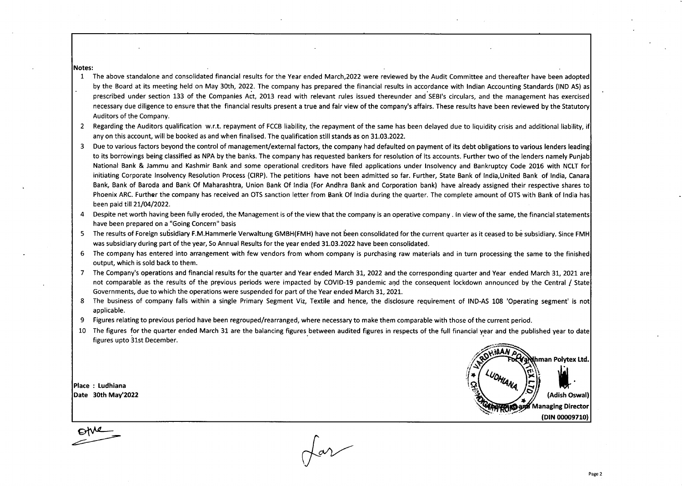#### Notes:

- 1 The above standalone and consolidated financial results for the Year ended March,2022 were reviewed by the Audit Committee and thereafter have been adopted . by the Board at its meeting held on May 30th, 2022. The company has prepared the financial results in accordance with Indian Accounting Standards (IND AS) as prescribed under section 133 of the Companies Act, 2013 read with relevant rules issued thereunder and SEBI's circulars, and the management has exercised necessary due diligence to ensure that the financial results present a true and fair view of the company's affairs. These results have been reviewed by the Statutory Auditors of the Company.
- 2 Regarding the Auditors qualification w.r.t. repayment of FCCB liability, the repayment of the same has been delayed due to liquidity crisis and additional liability, if any on this account, will be booked as and when finalised. The qualification still stands as on 31.03.2022.
- 3 Due to various factors beyond the control of management/external factors, the company had defaulted on payment of its debt obligations to various lenders leading to its borrowings being classified as NPA by the banks. The company has requested bankers for resolution of its accounts. Further two of the lenders namely Punjab National Bank & Jammu and Kashmir Bank and some operational creditors have filed applications under lnsolvency and Bankruptcy Code 2016 with NCLT initiating Corporate lnsolvency Resolution Process (CIRP). The petitions have not been admitted so far. Further, State Bank of lndia,United Bank of lndia, Canara Bank, Bank of Baroda and Bank Of Maharashtra, Union Bank Of India (For Andhra Bank and Corporation bank) have already assigned their respective shares to Phoenix ARC. Further the company has received an OTS sanction letter from Bank Of India during the quarter. The complete amount of OTS with Bank of India has been paid till 21/04/2022.
- 4 Despite net worth having been fully eroded, the Management is of the view that the company is an operative company . ln view of the same, the financial statements have been prepared on a "Going Concern" basis
- 5 The results of Foreign subsidiary F.M.Hammerle Verwaltung GMBH(FMH) have not been consolidated for the current quarter as it ceased to be subsidiary. Since FMH was subsidiary during part of the year, So Annual Results for the year ended 31.03.2022 have been consolidated.
- 5 The company has entered into arrangement with few vendors from whom company is purchasing raw materials and in turn processing the same to the finished output, which is sold back to them.
- 7 The Company's operations and financial results for the quarter and Year ended March 3t, 2022 and the corresponding quarter and Year ended March 3L, 2021 are not comparable as the results of the previous periods were impacted by COVID-19 pandemic and the consequent lockdown announced by the Central / State Governments, due to which the operations were suspended for part of the Year ended March 3L,2O2L.
- 8 The business of company falls within a single Primary Segment Viz, Textile and hence, the disclosure requirement of IND-AS 108 'Operating segment' is not applicable.
- 9 Figures relating to previous period have been regrouped/rearranged, where necessary to make them comparable with those of the current period.
- 10 The figures for the quarter ended March 31 are the balancing figures between audited figures in respects of the full financial year and the published year to date figures upto 31st December



 $_{\odot}$ the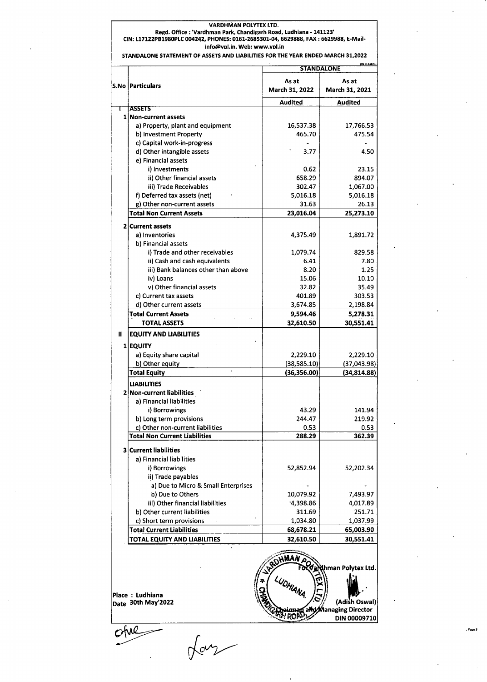### VARDHMAN POLYTEX LTD.

#### Regd. Office : 'Vardhman Park, Chandigarh Road, Ludhiana - 141123 CIN: t17122PB1980PtC 004242, PHONES;0161-2685301-04,5529888, FAX: 5629988, E-MaiF info@vpl.in, Web: www.vpl.in

STANDALONE STATEMENT OF ASSETS AND LIABILITIES FOR THE YEAR ENDED MARCH 31,2022

|   |                                                                | (Rs in Lakhs)<br><b>STANDALONE</b> |                         |  |  |
|---|----------------------------------------------------------------|------------------------------------|-------------------------|--|--|
|   | S.No  Particulars                                              | As at<br>March 31, 2022            | As at<br>March 31, 2021 |  |  |
|   |                                                                | <b>Audited</b>                     | <b>Audited</b>          |  |  |
|   | <b>ASSETS</b>                                                  |                                    |                         |  |  |
|   | 1 Non-current assets                                           |                                    |                         |  |  |
|   | a) Property, plant and equipment                               | 16,537.38                          | 17,766.53               |  |  |
|   | b) Investment Property                                         | 465.70                             | 475.54                  |  |  |
|   | c) Capital work-in-progress                                    |                                    |                         |  |  |
|   | d) Other intangible assets                                     | 3.77                               | 4.50                    |  |  |
|   | e) Financial assets                                            |                                    |                         |  |  |
|   | i) Investments<br>ii) Other financial assets                   | 0.62<br>658.29                     | 23.15<br>894.07         |  |  |
|   |                                                                |                                    |                         |  |  |
|   | iii) Trade Receivables                                         | 302.47                             | 1,067.00                |  |  |
|   | f) Deferred tax assets (net)                                   | 5,016.18                           | 5,016.18                |  |  |
|   | g) Other non-current assets<br><b>Total Non Current Assets</b> | 31.63                              | 26.13                   |  |  |
|   |                                                                | 23,016.04                          | 25,273.10               |  |  |
|   | 2 Current assets                                               |                                    |                         |  |  |
|   | a) Inventories                                                 | 4,375.49                           | 1,891.72                |  |  |
|   | b) Financial assets                                            |                                    |                         |  |  |
|   | i) Trade and other receivables                                 | 1.079.74                           | 829.58                  |  |  |
|   | ii) Cash and cash equivalents                                  | 6.41                               | 7.80                    |  |  |
|   | iii) Bank balances other than above                            | 8.20                               | 1.25                    |  |  |
|   | iv) Loans                                                      | 15.06                              | 10.10                   |  |  |
|   | v) Other financial assets                                      | 32.82                              | 35.49                   |  |  |
|   | c) Current tax assets                                          | 401.89                             | 303.53                  |  |  |
|   | d) Other current assets                                        | 3,674.85                           | 2,198.84                |  |  |
|   | <b>Total Current Assets</b>                                    | 9,594.46                           | 5,278.31                |  |  |
|   | <b>TOTAL ASSETS</b>                                            | 32,610.50                          | 30,551.41               |  |  |
| Ħ | <b>EQUITY AND LIABILITIES</b>                                  |                                    |                         |  |  |
|   | 1 EQUITY                                                       |                                    |                         |  |  |
|   | a) Equity share capital                                        | 2,229.10                           | 2,229.10                |  |  |
|   | b) Other equity                                                | (38,585.10)                        | (37,043.98)             |  |  |
|   | <b>Total Equity</b>                                            | (36, 356.00)                       | (34, 814.88)            |  |  |
|   | <b>LIABILITIES</b>                                             |                                    |                         |  |  |
|   | 2 Non-current liabilities                                      |                                    |                         |  |  |
|   | a) Financial liabilities                                       |                                    |                         |  |  |
|   | i) Borrowings                                                  | 43.29                              | 141.94                  |  |  |
|   | b) Long term provisions                                        | 244.47                             | 219.92                  |  |  |
|   | c) Other non-current liabilities                               | 0.53                               | 0.53                    |  |  |
|   | <b>Total Non Current Liabilities</b>                           | 288.29                             | 362.39                  |  |  |
|   | <b>3 Current liabilities</b>                                   |                                    |                         |  |  |
|   | a) Financial liabilities                                       |                                    |                         |  |  |
|   | i) Borrowings                                                  | 52,852.94                          | 52,202.34               |  |  |
|   | ii) Trade payables                                             |                                    |                         |  |  |
|   | a) Due to Micro & Small Enterprises                            |                                    |                         |  |  |
|   | b) Due to Others                                               | 10,079.92                          | 7,493.97                |  |  |
|   | iii) Other financial liabilities                               | 4,398.86                           | 4,017.89                |  |  |
|   | b) Other current liabilities                                   | 311.69                             | 251.71                  |  |  |
|   | c) Short term provisions                                       | 1,034.80                           | 1,037.99                |  |  |
|   | <b>Total Current Liabilities</b>                               | 68,678.21                          | 65,003.90               |  |  |
|   | TOTAL EQUITY AND LIABILITIES                                   | 32,610.50                          | 30,551.41               |  |  |
|   |                                                                |                                    |                         |  |  |

**MAN** .<br>Whman Polytex Ltd. Place : Ludhiana (Adish Oswal) <sub>Date</sub> 30th May'2022 Of Me Managing Director

.<br>Page 3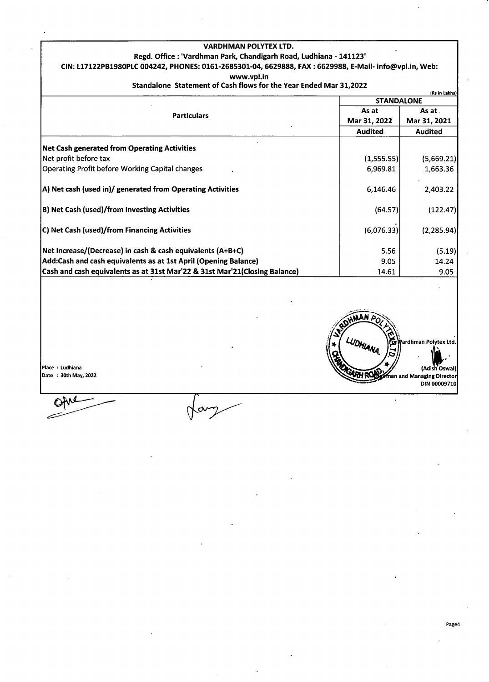## VARDHMAN POLYTEX LTD.

## Regd. Office : 'Vardhman Park, Chandigarh Road, Ludhiana - 141123'

CIN: 117122P81980PIC OO4242, PHONES: 0161-2685301-04, 6629888, FAX : 5629988, E-Mail- info@vpl.in, Web:

www.vpl.in

Standalone Statement of Cash flows for the Year Ended Mar 3L,2O22

|                                                                            |                   | (Rs in Lakhs)  |  |  |
|----------------------------------------------------------------------------|-------------------|----------------|--|--|
|                                                                            | <b>STANDALONE</b> |                |  |  |
|                                                                            | As at             | As at .        |  |  |
| <b>Particulars</b>                                                         | Mar 31, 2022      | Mar 31, 2021   |  |  |
|                                                                            | <b>Audited</b>    | <b>Audited</b> |  |  |
| <b>Net Cash generated from Operating Activities</b>                        |                   |                |  |  |
| Net profit before tax                                                      | (1,555.55)        | (5,669.21)     |  |  |
| <b>Operating Profit before Working Capital changes</b>                     | 6.969.81          | 1,663.36       |  |  |
| A) Net cash (used in)/ generated from Operating Activities                 | 6,146.46          | 2,403.22       |  |  |
| B) Net Cash (used)/from Investing Activities                               | (64.57)           | (122.47)       |  |  |
| C) Net Cash (used)/from Financing Activities                               | (6,076.33)        | (2, 285.94)    |  |  |
| Net Increase/(Decrease) in cash & cash equivalents (A+B+C)                 | 5.56              | (5.19)         |  |  |
| Add:Cash and cash equivalents as at 1st April (Opening Balance)            | 9.05              | 14.24          |  |  |
| Cash and cash equivalents as at 31st Mar'22 & 31st Mar'21(Closing Balance) | 14.61             | 9.05           |  |  |



Place : Ludhiana Date : 3oth May,2022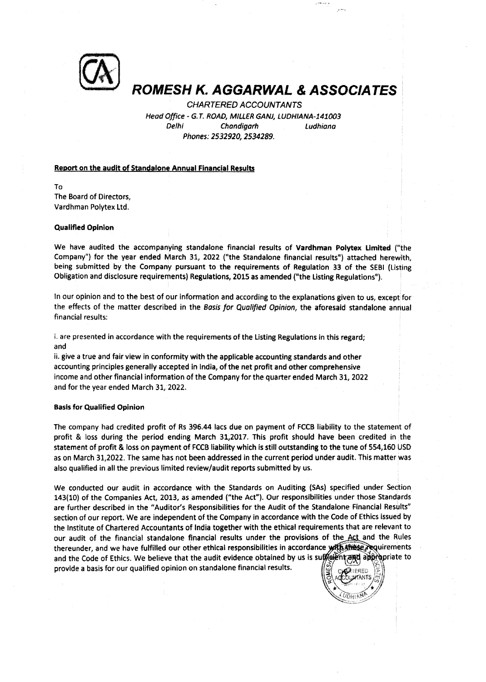

# ROMESH K. AGGARWAL & ASSOCIATES

CHARTERED ACCOUNTANTS Head Office - G.T. ROAD, MILLER GANI, LUDHIANA-141003 Delhi Chondigorh Ludhiana Phones: 2532920, 2534289.

#### Report on the audit of Standalone Annual Financial Results

To The Board of Directors, Vardhman Polytex Ltd.

#### Qualifled Oplnion

We have audited the accompanying standalone financial results of Vardhman Polytex Limited ("the Company") for the year ended March 31, 2022 ("the Standalone financial results") attached herewith. being submitted by the Company pursuant to the requirements of Regulation 33 of the SEBI (Listing Obligation and disclosure requirements) Regulations, 2015 as amended ("the Listing Regulations").

tn our opinion and to the best of our information and aceording to the explanations given to us, except for the effects of the matter described in the Basis for Qualified Opinion, the aforesaid standalone annual financial results:

i. are presented in accordance with the requirements of the Listing Regulations in this regard; and

ii. give a true and fair view in conformity with the applicable accounting standards and other accounting principles generally accepted in lndia, of the net profit and other comprehensive income and other financial information of the Company for the quarter ended March 31, 2022 and for the year ended March 31, 2022.

#### Basls for Quallfied Opinion

The company had credited profit of Rs 396.44 lacs due on payment of FCCB liability to the statement of profit & loss during the period ending March 31,2017. This profit should have been credited in the statement of profit & loss on payment of FCCB liability which is stilloutstanding to the tune of 554,150 USD as on March 3L,2022. The same has not been addressed in the current period under audit. This matter was also qualified in all the previous limited review/audit reports submitted by us.

We conducted our audit in accordance with the Standards on Auditing (SAs) specified under Section 143(10) of the Companies Act, 2013, as amended ("the Act"). Our responsibilities under those Standards are further described in the "Auditor's Responsibilities for the Audit of the Standalone Financial Results" section of our report. We are independent of the Company in accordance with the Code of Ethics issued by the Institute of Chartered Accountants of India together with the ethical requirements that are relevant to our audit of the financial standalone financial results under the provisions of the Act and the Rules thereunder, and we have fulfilled our other ethical responsibilities in accordance with these requirements and the Code of Ethics. We believe that the audit evidence obtained by us is sufficient and appropriate to provide a basis for our qualified opinion on standalone financial results.

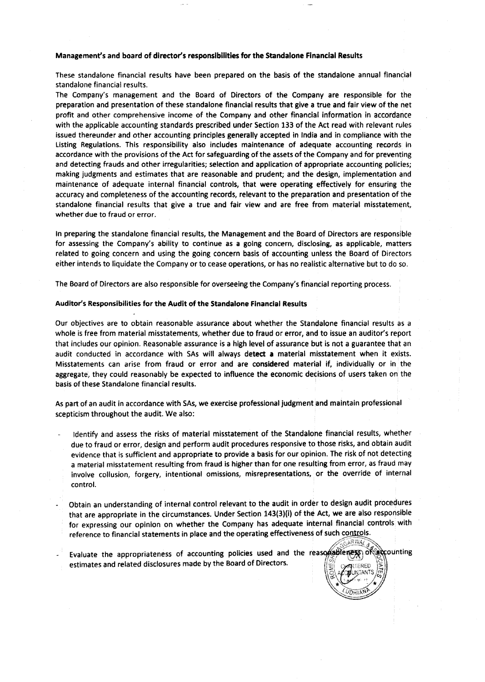#### Management's and board of director's responsibllities for the Standalone Flnancial Results

These standalone financial results have been prepared on the basis of the standalone annual financial standalone financial results.

The Company's management and the Board of Directors of the Company are responsible for the preparation and presentation of these standalone financial results that give a true and fair view of the net profit and other comprehensive income of the Company and other financial information in accordance with the applicable accounting standards prescribed under Section 133 of the Act read with relevant rules issued thereunder and other accounting principles generally accepted in lndia and in compliance with the Listing Regulations. This responsibility also includes maintenance of adequate accounting records in accordance with the provisions of the Act for safeguarding of the assets of the Company and for preventing and detecting frauds and other irregularities; selection and application of appropriate accounting policies; making judgments and estimates that are reasonable and prudent; and the design, implementation and maintenance of adequate internal financial controls, that were operating effectively for ensuring the accuracy and completeness of the accounting records, relevant to the preparation and presentation of the standalone financial results that give a true and fair view and are free from material misstatement, whether due to fraud or error,

ln preparing the standalone financial results, the Management and the Board of Directors are responsible for assessing the Company's ability to continue as a going concern, disclosing, as applicable, matters related to going concern and using the going concern basis of accounting unless the Board of Directors either intends to liquidate the Company or to cease operations, or has no realistic alternative hut to do so.

The Board of Directors are also responsible for overseeing the Company's financial reporting process

#### Auditor's Responsibilities for the Audit of the Standalone Financial Results

Our objectives are to obtain reasonable assurance about whether the Standalone financial results as <sup>a</sup> whole is free from material misstatements, whether due to fraud or error, and to issue an auditor's report that includes our opinion. Reasonable assurance is a high level of assurance but is not a guarantee that an audit conducted in accordance with SAs will always detect a material misstatement when it exists. Misstatements can arise from fraud or error and are considered material if, individually or in the aggregate, they could reasonably be expected to influence the economic decisions of users taken on the basis of these Standalone financial results.

As part of an audit in accordance with SAs, we exercise professional judgment and maintain professional scepticism throughout the audit. We also:

ldentify and assess the risks of material misstatement of the Standalone financial results, whether due to fraud or error, design and perform audit procedures responsive to those risks, and obtain audit evidence that is sufficient and appropriate to provide a basis for our opinion. The risk of not detecting a material misstatement resulting from fraud is higher than for one resulting from error, as fraud may involve collusion, forgery, intentional omissions, misrepresentations, or the override of internal control.

Obtain an understanding of internal control relevant to the audit in order to design audit procedures that are appropriate in the circumstances. Under Section 143(3)(i) of the Act, we are also responsible for expressing our opinion on whether the Company has adequate internal financial controls with reference to financial statements in place and the operating effectiveness of such controls.

Evaluate the appropriateness of accounting policies used and the reasonablement estimates and related disclosures made by the Board of Directors. s of accounting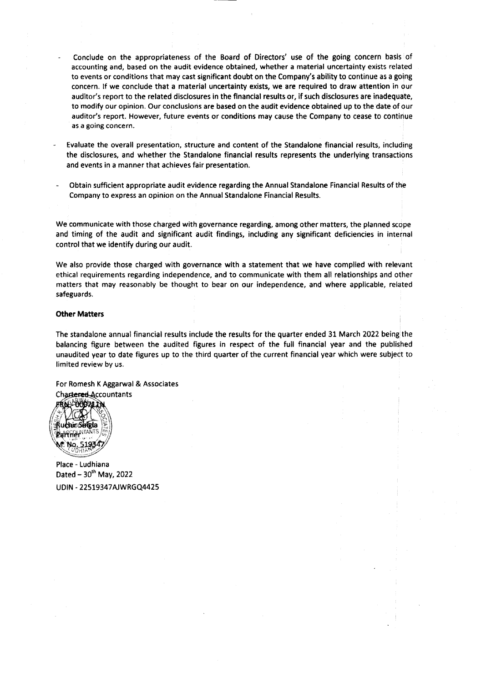- Conclude on the appropriateness of the Board of Directors' use of the going concern basis of accounting and, based on the audit evidence obtained, whether a material uncertainty exists related to events or conditions that may cast significant doubt on the Company's ability to continue as a going concern. lf we conclude that a material uncertainty exists, we are required to draw attention in our auditor's report to the related disclosures in the financial results or, if such disclosures are inadequate. to modify our opinion. Our conclusions are based on the audit evidence obtained up to the date of our auditor's report. However, future events or conditions may cause the Company to cease to continue as a going concern.
- Evaluate the overall presentation, structure and content of the Standalone financial results, including the disclosures, and whether the Standalone financial results represents the underlying transactions and events in a manner that achieves fair presentation,

Obtain sufficient appropriate audit evldence regarding the Annual Standalone Financial Resutts of the Company to express an opinion on the Annual Standalone Financial Results.

We cornmunicate with those charged with governance regarding, among other matters, the planned scope and timing of the audit and significant audit findings, including any significant deficiencies in internal control that we identify during our audit.

We also provide those charged with governance with a statement that we have complied with relevant ethicai requirements regarding independence, and to communicate with them all relationships and other rnatters that may reasonably be thought to bear on our independence, and where applicable, related safeguards.

#### Other Matters

The standalone annual financial results include the results for the quarter ended 31 March 2022 being the balancing figure between the audited figures in respect of the full financial year and the published unaudited year to date figures up to the third quarter of the current financial year whieh were subject to limited review by us.

For Romesh K Aggarwal & Associates Chartered Accountants



Place - Ludhiana Dated  $-30^{th}$  May, 2022 uDtN - 22519347AJWRGQ4425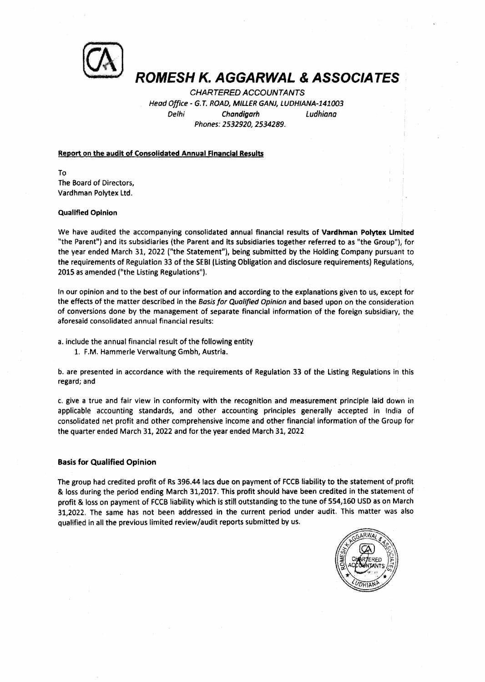

# ROMESH K, AGGARWAL & ASSOCIATES

CHARTERED ACCOUNTANTS Head Office - G.T. ROAD, MILLER GANJ, LUDHIANA-141003 Delhi Chondigarh Ludhiano Phones: 2532920, 2534289.

## Report on the audit of Consolidated Annual Financial Results

To The Board of Directors, Vardhman Polytex Ltd.

#### Quallfied Oplnlon

We have audited the accompanying consolidated annual financial results of Vardhman Polytex Limited "the Parent") and its subsidiaries (the Parent and its subsidiaries together referred to as "the Group"), for the year ended March 31, 2022 ("the Statement"), being submitted by the Holding Company pursuant to the requirements of Regulation 33 of the SEBI (listing Obligation and disclosure requirements) Regulations, 2015 as amended ("the Listing Regulations").

ln our opinion and to the best of our information and according to the explanations given to us, except for the effects of the matter described in the Basis for Qualified Opinion and based upon on the consideration of conversions done by the managernent of separate financial information of the foreign subsidiary, the aforesaid consolidated annual financial results:

a. include the annual financial result of the following entity 1. F.M. Hammerle Verwaltung Gmbh, Austria.

b. are presented in accordance with the requirements of Regulation 33 of the Listing Regulations in this regard; and

c. give a true and fair view in conformity with the recognition and measurement principle laid down in applicable accounting standards, and other accounting principles generally accepted in India of consolidated net profit and other comprehensive income and other financial information of the Group for the quarter ended March 31, 2022 and for the year ended March 31, 2022

### **Basis for Qualified Opinion**

The group had credited profit of Rs 396.44 lacs due on payment of FCCB liability to the statement of profit & loss during the period ending March 31,2017. This profit should have been credited in the statement of profit & loss on payment of FCCB liability which is still outstanding to the tune of 554,160 USD as on March 31,2022. The same has not been addressed in the current period under audit, This matter was also qualified in all the previous limited review/audit reports submitted by us.